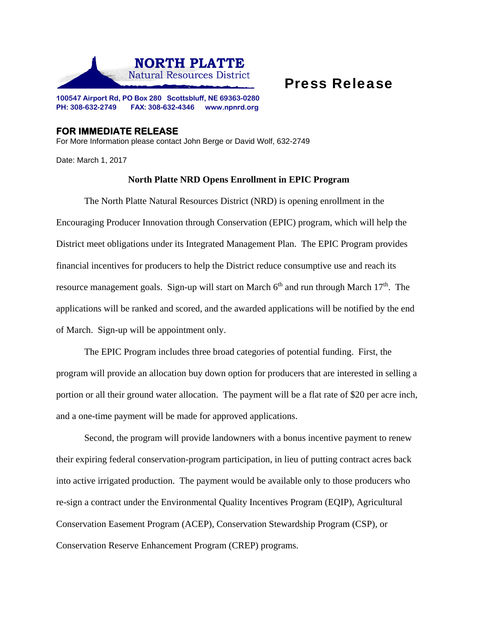

## Press Release

**100547 Airport Rd, PO Box 280 Scottsbluff, NE 69363-0280 PH: 308-632-2749 FAX: 308-632-4346 www.npnrd.org** 

## **FOR IMMEDIATE RELEASE**

For More Information please contact John Berge or David Wolf, 632-2749

Date: March 1, 2017

## **North Platte NRD Opens Enrollment in EPIC Program**

The North Platte Natural Resources District (NRD) is opening enrollment in the Encouraging Producer Innovation through Conservation (EPIC) program, which will help the District meet obligations under its Integrated Management Plan. The EPIC Program provides financial incentives for producers to help the District reduce consumptive use and reach its resource management goals. Sign-up will start on March  $6<sup>th</sup>$  and run through March  $17<sup>th</sup>$ . The applications will be ranked and scored, and the awarded applications will be notified by the end of March. Sign-up will be appointment only.

 The EPIC Program includes three broad categories of potential funding. First, the program will provide an allocation buy down option for producers that are interested in selling a portion or all their ground water allocation. The payment will be a flat rate of \$20 per acre inch, and a one-time payment will be made for approved applications.

Second, the program will provide landowners with a bonus incentive payment to renew their expiring federal conservation-program participation, in lieu of putting contract acres back into active irrigated production. The payment would be available only to those producers who re-sign a contract under the Environmental Quality Incentives Program (EQIP), Agricultural Conservation Easement Program (ACEP), Conservation Stewardship Program (CSP), or Conservation Reserve Enhancement Program (CREP) programs.